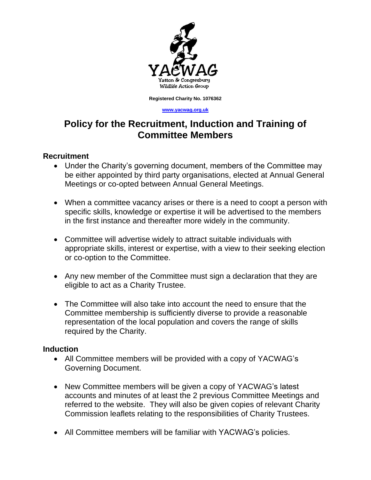

**Registered Charity No. 1076362**

#### **[www.yacwag.org.uk](http://www.yacwag.org.uk/)**

# **Policy for the Recruitment, Induction and Training of Committee Members**

### **Recruitment**

- Under the Charity's governing document, members of the Committee may be either appointed by third party organisations, elected at Annual General Meetings or co-opted between Annual General Meetings.
- When a committee vacancy arises or there is a need to coopt a person with specific skills, knowledge or expertise it will be advertised to the members in the first instance and thereafter more widely in the community.
- Committee will advertise widely to attract suitable individuals with appropriate skills, interest or expertise, with a view to their seeking election or co-option to the Committee.
- Any new member of the Committee must sign a declaration that they are eligible to act as a Charity Trustee.
- The Committee will also take into account the need to ensure that the Committee membership is sufficiently diverse to provide a reasonable representation of the local population and covers the range of skills required by the Charity.

### **Induction**

- All Committee members will be provided with a copy of YACWAG's Governing Document.
- New Committee members will be given a copy of YACWAG's latest accounts and minutes of at least the 2 previous Committee Meetings and referred to the website. They will also be given copies of relevant Charity Commission leaflets relating to the responsibilities of Charity Trustees.
- All Committee members will be familiar with YACWAG's policies.